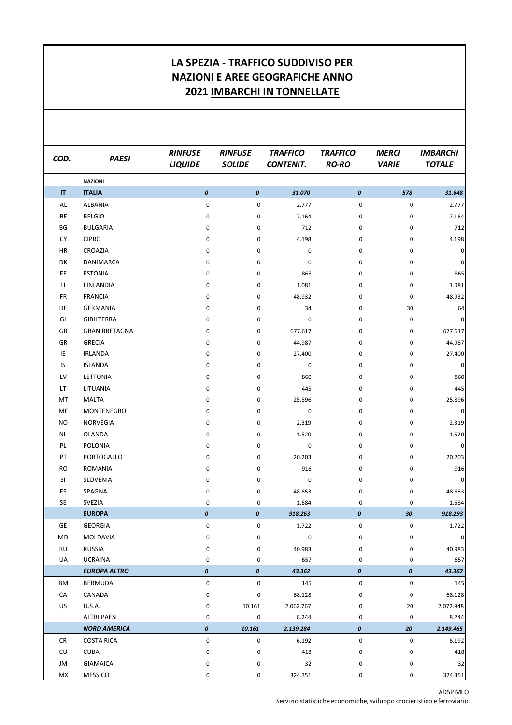## **LA SPEZIA - TRAFFICO SUDDIVISO PER NAZIONI E AREE GEOGRAFICHE ANNO 2021 IMBARCHI IN TONNELLATE**

| COD.                   | <b>PAESI</b>         | <b>RINFUSE</b><br><b>LIQUIDE</b> | <b>RINFUSE</b><br><b>SOLIDE</b> | <b>TRAFFICO</b><br><b>CONTENIT.</b> | <b>TRAFFICO</b><br><b>RO-RO</b> | <b>MERCI</b><br><b>VARIE</b> | <b>IMBARCHI</b><br><b>TOTALE</b> |
|------------------------|----------------------|----------------------------------|---------------------------------|-------------------------------------|---------------------------------|------------------------------|----------------------------------|
|                        | <b>NAZIONI</b>       |                                  |                                 |                                     |                                 |                              |                                  |
| $\mathsf{I}\mathsf{T}$ | <b>ITALIA</b>        | 0                                | $\boldsymbol{o}$                | 31.070                              | 0                               | 578                          | 31.648                           |
| AL                     | <b>ALBANIA</b>       | $\pmb{0}$                        | 0                               | 2.777                               | 0                               | $\pmb{0}$                    | 2.777                            |
| BE                     | <b>BELGIO</b>        | 0                                | 0                               | 7.164                               | 0                               | 0                            | 7.164                            |
| BG                     | <b>BULGARIA</b>      | 0                                | 0                               | 712                                 | 0                               | 0                            | 712                              |
| CY                     | <b>CIPRO</b>         | 0                                | 0                               | 4.198                               | 0                               | 0                            | 4.198                            |
| HR                     | CROAZIA              | 0                                | 0                               | $\pmb{0}$                           | 0                               | 0                            | $\pmb{0}$                        |
| DK                     | DANIMARCA            | 0                                | 0                               | 0                                   | 0                               | 0                            | $\pmb{0}$                        |
| EE                     | <b>ESTONIA</b>       | 0                                | 0                               | 865                                 | 0                               | 0                            | 865                              |
| FI.                    | <b>FINLANDIA</b>     | 0                                | 0                               | 1.081                               | 0                               | 0                            | 1.081                            |
| <b>FR</b>              | <b>FRANCIA</b>       | 0                                | 0                               | 48.932                              | 0                               | $\pmb{0}$                    | 48.932                           |
| DE                     | <b>GERMANIA</b>      | 0                                | 0                               | 34                                  | 0                               | 30                           | 64                               |
| GI                     | <b>GIBILTERRA</b>    | 0                                | 0                               | 0                                   | 0                               | $\pmb{0}$                    | $\pmb{0}$                        |
| GB                     | <b>GRAN BRETAGNA</b> | 0                                | 0                               | 677.617                             | 0                               | $\pmb{0}$                    | 677.617                          |
| GR                     | <b>GRECIA</b>        | 0                                | 0                               | 44.987                              | 0                               | 0                            | 44.987                           |
| IE                     | <b>IRLANDA</b>       | 0                                | 0                               | 27.400                              | 0                               | 0                            | 27.400                           |
| IS                     | <b>ISLANDA</b>       | 0                                | 0                               | 0                                   | 0                               | 0                            | $\pmb{0}$                        |
| LV                     | LETTONIA             | 0                                | $\mathsf 0$                     | 860                                 | 0                               | $\pmb{0}$                    | 860                              |
| LT                     | LITUANIA             | 0                                | $\mathsf 0$                     | 445                                 | 0                               | 0                            | 445                              |
| МT                     | <b>MALTA</b>         | 0                                | 0                               | 25.896                              | 0                               | $\pmb{0}$                    | 25.896                           |
| ME                     | MONTENEGRO           | 0                                | 0                               | 0                                   | 0                               | 0                            | $\pmb{0}$                        |
| NO.                    | NORVEGIA             | 0                                | 0                               | 2.319                               | 0                               | $\pmb{0}$                    | 2.319                            |
| NL                     | <b>OLANDA</b>        | 0                                | 0                               | 1.520                               | 0                               | 0                            | 1.520                            |
| PL                     | POLONIA              | 0                                | 0                               | 0                                   | 0                               | 0                            | $\pmb{0}$                        |
| PT                     | PORTOGALLO           | 0                                | 0                               | 20.203                              | 0                               | 0                            | 20.203                           |
| RO                     | <b>ROMANIA</b>       | 0                                | 0                               | 916                                 | 0                               | 0                            | 916                              |
| SI                     | SLOVENIA             | 0                                | 0                               | 0                                   | 0                               | $\pmb{0}$                    | $\pmb{0}$                        |
| ES                     | SPAGNA               | 0                                | 0                               | 48.653                              | 0                               | 0                            | 48.653                           |
| SE                     | SVEZIA               | 0                                | 0                               | 1.684                               | 0                               | 0                            | 1.684                            |
|                        | <b>EUROPA</b>        | 0                                | $\pmb{o}$                       | 918.263                             | 0                               | 30                           | 918.293                          |
| GE                     | <b>GEORGIA</b>       | 0                                | 0                               | 1.722                               | 0                               | 0                            | 1.722                            |
| MD                     | MOLDAVIA             | 0                                | 0                               | 0                                   | 0                               | 0                            | $\pmb{0}$                        |
| <b>RU</b>              | <b>RUSSIA</b>        | 0                                | 0                               | 40.983                              | 0                               | 0                            | 40.983                           |
| UA                     | <b>UCRAINA</b>       | 0                                | 0                               | 657                                 | 0                               | 0                            | 657                              |
|                        | <b>EUROPA ALTRO</b>  | 0                                | 0                               | 43.362                              | 0                               | 0                            | 43.362                           |
| ΒM                     | <b>BERMUDA</b>       | $\pmb{0}$                        | $\mathsf{O}\xspace$             | 145                                 | 0                               | 0                            | 145                              |
| CA                     | CANADA               | 0                                | 0                               | 68.128                              | 0                               | 0                            | 68.128                           |
| US                     | <b>U.S.A.</b>        | 0                                | 10.161                          | 2.062.767                           | 0                               | 20                           | 2.072.948                        |
|                        | <b>ALTRI PAESI</b>   | 0                                | 0                               | 8.244                               | 0                               | $\pmb{0}$                    | 8.244                            |
|                        | <b>NORD AMERICA</b>  | 0                                | 10.161                          | 2.139.284                           | 0                               | 20                           | 2.149.465                        |
| <b>CR</b>              | <b>COSTA RICA</b>    | 0                                | 0                               | 6.192                               | 0                               | 0                            | 6.192                            |
| CU                     | <b>CUBA</b>          | 0                                | 0                               | 418                                 | 0                               | 0                            | 418                              |
| JM                     | <b>GIAMAICA</b>      | 0                                | 0                               | 32                                  | 0                               | 0                            | 32                               |
| МX                     | MESSICO              | 0                                | 0                               | 324.351                             | 0                               | 0                            | 324.351                          |

ADSP MLO Servizio statistiche economiche, sviluppo crocieristico e ferroviario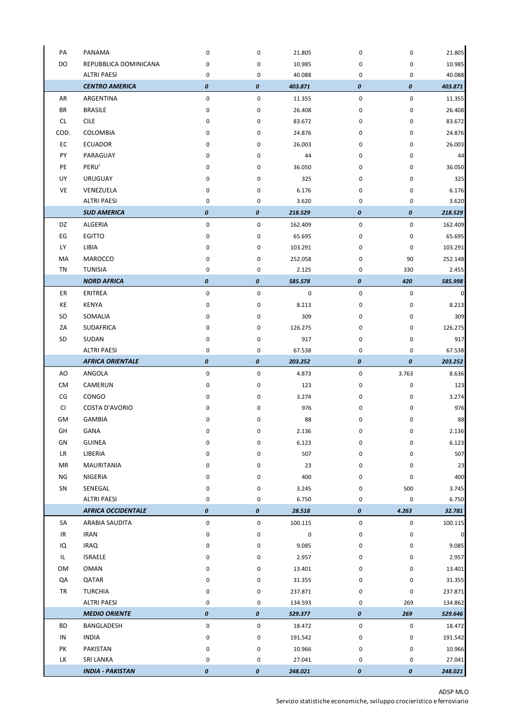| PA   | PANAMA                                        | 0      | 0                     | 21.805            | 0      | $\pmb{0}$ | 21.805            |
|------|-----------------------------------------------|--------|-----------------------|-------------------|--------|-----------|-------------------|
| DO   | REPUBBLICA DOMINICANA                         | 0      | 0                     | 10.985            | 0      | 0         | 10.985            |
|      | <b>ALTRI PAESI</b>                            | 0      | 0                     | 40.088            | 0      | 0         | 40.088            |
|      | <b>CENTRO AMERICA</b>                         | 0      | 0                     | 403.871           | 0      | 0         | 403.871           |
| AR   | ARGENTINA                                     | 0      | 0                     | 11.355            | 0      | $\pmb{0}$ | 11.355            |
| BR   | <b>BRASILE</b>                                | 0      | 0                     | 26.408            | 0      | 0         | 26.408            |
| CL.  | <b>CILE</b>                                   | 0      | 0                     | 83.672            | 0      | 0         | 83.672            |
| COD. | COLOMBIA                                      | 0      | 0                     | 24.876            | 0      | 0         | 24.876            |
| EC   | <b>ECUADOR</b>                                | 0      | 0                     | 26.003            | 0      | 0         | 26.003            |
| PY   | PARAGUAY                                      | 0      | 0                     | 44                | 0      | 0         | 44                |
| PE   | PERU'                                         | 0      | 0                     | 36.050            | 0      | 0         | 36.050            |
| UY   | <b>URUGUAY</b>                                | 0      | 0                     | 325               | 0      | 0         | 325               |
| VE   | VENEZUELA                                     | 0      | 0                     | 6.176             | 0      | 0         | 6.176             |
|      | <b>ALTRI PAESI</b>                            | 0      | 0                     | 3.620             | 0      | 0         | 3.620             |
|      | <b>SUD AMERICA</b>                            | 0      | 0                     | 218.529           | 0      | 0         | 218.529           |
| DZ   | ALGERIA                                       | 0      | 0                     | 162.409           | 0      | $\pmb{0}$ | 162.409           |
| EG   | <b>EGITTO</b>                                 | 0      | 0                     | 65.695            | 0      | 0         | 65.695            |
| LY   | LIBIA                                         | 0      | 0                     | 103.291           | 0      | $\pmb{0}$ | 103.291           |
| MA   | <b>MAROCCO</b>                                | 0      | 0                     | 252.058           | 0      | 90        | 252.148           |
| TN   | <b>TUNISIA</b>                                | 0      | 0                     | 2.125             | 0      | 330       | 2.455             |
|      | <b>NORD AFRICA</b>                            | 0      | 0                     | 585.578           | 0      | 420       | 585.998           |
| ER   | ERITREA                                       | 0      | 0                     | 0                 | 0      | $\pmb{0}$ | $\mathbf 0$       |
| KE   | KENYA                                         | 0      | 0                     | 8.213             | 0      | 0         | 8.213             |
| SO.  | SOMALIA                                       | 0      | 0                     | 309               | 0      | 0         | 309               |
| ΖA   | SUDAFRICA                                     | 0      | 0                     |                   | 0      | 0         | 126.275           |
|      |                                               |        |                       | 126.275           |        |           |                   |
| SD   | SUDAN                                         | 0<br>0 | 0                     | 917               | 0      | 0         | 917               |
|      | <b>ALTRI PAESI</b><br><b>AFRICA ORIENTALE</b> | 0      | 0<br>$\boldsymbol{o}$ | 67.538<br>203.252 | 0<br>0 | 0<br>0    | 67.538<br>203.252 |
|      |                                               |        |                       |                   |        |           |                   |
| AO   | ANGOLA                                        | 0      | 0                     | 4.873             | 0      | 3.763     | 8.636             |
| СM   | CAMERUN                                       | 0      | 0                     | 123               | 0      | 0         | 123               |
| CG   | CONGO                                         | 0      | 0                     | 3.274             | 0      | 0         | 3.274             |
| CI.  | <b>COSTA D'AVORIO</b>                         | 0      | 0                     | 976               | 0      | 0         | 976               |
| GМ   | <b>GAMBIA</b>                                 | 0      | 0                     | 88                | 0      | 0         | 88                |
| GH   | GANA                                          | 0      | 0                     | 2.136             | 0      | 0         | 2.136             |
| GN   | <b>GUINEA</b>                                 | 0      | 0                     | 6.123             | 0      | 0         | 6.123             |
| LR   | LIBERIA                                       | 0      | 0                     | 507               | 0      | 0         | 507               |
| MR   | MAURITANIA                                    | 0      | 0                     | 23                | 0      | 0         | 23                |
| ΝG   | NIGERIA                                       | 0      | 0                     | 400               | 0      | $\pmb{0}$ | 400               |
| SN   | SENEGAL                                       | 0      | 0                     | 3.245             | 0      | 500       | 3.745             |
|      | <b>ALTRI PAESI</b>                            | 0      | 0                     | 6.750             | 0      | 0         | 6.750             |
|      | <b>AFRICA OCCIDENTALE</b>                     | 0      | $\boldsymbol{o}$      | 28.518            | 0      | 4.263     | 32.781            |
| SA   | ARABIA SAUDITA                                | 0      | 0                     | 100.115           | 0      | 0         | 100.115           |
| IR   | <b>IRAN</b>                                   | 0      | 0                     | 0                 | 0      | 0         | $\pmb{0}$         |
| IQ   | <b>IRAQ</b>                                   | 0      | 0                     | 9.085             | 0      | 0         | 9.085             |
| IL.  | <b>ISRAELE</b>                                | 0      | 0                     | 2.957             | 0      | 0         | 2.957             |
| OM   | <b>OMAN</b>                                   | 0      | 0                     | 13.401            | 0      | 0         | 13.401            |
| QA   | QATAR                                         | 0      | 0                     | 31.355            | 0      | $\pmb{0}$ | 31.355            |
| TR   | <b>TURCHIA</b>                                | 0      | 0                     | 237.871           | 0      | $\pmb{0}$ | 237.871           |
|      | <b>ALTRI PAESI</b>                            | 0      | 0                     | 134.593           | 0      | 269       | 134.862           |
|      | <b>MEDIO ORIENTE</b>                          | 0      | $\boldsymbol{o}$      | 529.377           | 0      | 269       | 529.646           |
| BD   | BANGLADESH                                    | 0      | 0                     | 18.472            | 0      | 0         | 18.472            |
| IN   | <b>INDIA</b>                                  | 0      | 0                     | 191.542           | 0      | $\pmb{0}$ | 191.542           |
| PK   | PAKISTAN                                      | 0      | 0                     | 10.966            | 0      | 0         | 10.966            |
| LK   | <b>SRI LANKA</b>                              | 0      | 0                     | 27.041            | 0      | 0         | 27.041            |
|      | <b>INDIA - PAKISTAN</b>                       | 0      | 0                     | 248.021           | 0      | 0         | 248.021           |

l.